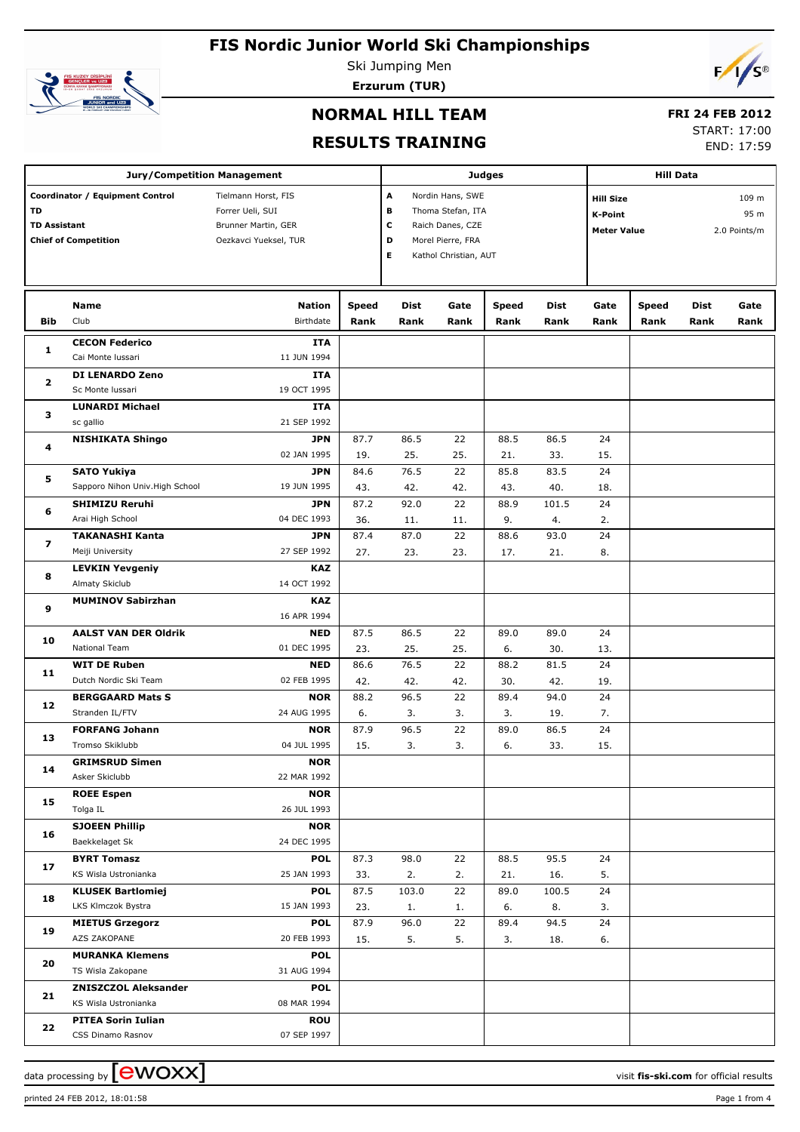

Ski Jumping Men **Erzurum (TUR)**



## **NORMAL HILL TEAM**

### **FRI 24 FEB 2012**

#### **RESULTS TRAINING**

START: 17:00

END: 17:59

|                     | <b>Jury/Competition Management</b> |                       | <b>Judges</b> | <b>Hill Data</b>  |                       |                    |                           |      |              |             |      |
|---------------------|------------------------------------|-----------------------|---------------|-------------------|-----------------------|--------------------|---------------------------|------|--------------|-------------|------|
|                     | Coordinator / Equipment Control    | Tielmann Horst, FIS   | A             | Nordin Hans, SWE  |                       |                    | 109 m<br><b>Hill Size</b> |      |              |             |      |
| TD                  |                                    | Forrer Ueli, SUI      | в             | Thoma Stefan, ITA |                       | K-Point            |                           |      | 95 m         |             |      |
| <b>TD Assistant</b> |                                    | Brunner Martin, GER   | c             | Raich Danes, CZE  |                       | <b>Meter Value</b> |                           |      | 2.0 Points/m |             |      |
|                     | <b>Chief of Competition</b>        | Oezkavci Yueksel, TUR |               | D                 | Morel Pierre, FRA     |                    |                           |      |              |             |      |
|                     |                                    |                       |               | Е                 | Kathol Christian, AUT |                    |                           |      |              |             |      |
|                     |                                    |                       |               |                   |                       |                    |                           |      |              |             |      |
|                     |                                    |                       |               |                   |                       |                    |                           |      |              |             |      |
|                     | Name                               | <b>Nation</b>         | Speed         | Dist              | Gate                  | <b>Speed</b>       | Dist                      | Gate | <b>Speed</b> | <b>Dist</b> | Gate |
| <b>Bib</b>          | Club                               | Birthdate             | Rank          | Rank              | Rank                  | Rank               | Rank                      | Rank | Rank         | Rank        | Rank |
|                     | <b>CECON Federico</b>              | ITA                   |               |                   |                       |                    |                           |      |              |             |      |
| 1                   | Cai Monte Iussari                  | 11 JUN 1994           |               |                   |                       |                    |                           |      |              |             |      |
|                     | DI LENARDO Zeno                    | <b>ITA</b>            |               |                   |                       |                    |                           |      |              |             |      |
| 2                   | Sc Monte Iussari                   | 19 OCT 1995           |               |                   |                       |                    |                           |      |              |             |      |
|                     | <b>LUNARDI Michael</b>             | <b>ITA</b>            |               |                   |                       |                    |                           |      |              |             |      |
| з                   | sc gallio                          | 21 SEP 1992           |               |                   |                       |                    |                           |      |              |             |      |
|                     | <b>NISHIKATA Shingo</b>            | <b>JPN</b>            | 87.7          | 86.5              | 22                    | 88.5               | 86.5                      | 24   |              |             |      |
| 4                   |                                    | 02 JAN 1995           | 19.           | 25.               | 25.                   | 21.                | 33.                       | 15.  |              |             |      |
|                     | <b>SATO Yukiya</b>                 | <b>JPN</b>            | 84.6          | 76.5              | 22                    | 85.8               | 83.5                      | 24   |              |             |      |
| 5                   | Sapporo Nihon Univ. High School    | 19 JUN 1995           | 43.           | 42.               | 42.                   | 43.                | 40.                       | 18.  |              |             |      |
|                     | <b>SHIMIZU Reruhi</b>              | <b>JPN</b>            | 87.2          | 92.0              | 22                    | 88.9               | 101.5                     | 24   |              |             |      |
| 6                   | Arai High School                   | 04 DEC 1993           | 36.           | 11.               | 11.                   | 9.                 | 4.                        | 2.   |              |             |      |
|                     | <b>TAKANASHI Kanta</b>             | <b>JPN</b>            | 87.4          | 87.0              | 22                    | 88.6               | 93.0                      | 24   |              |             |      |
| 7                   | Meiji University                   | 27 SEP 1992           | 27.           | 23.               | 23.                   | 17.                | 21.                       | 8.   |              |             |      |
|                     | <b>LEVKIN Yevgeniy</b>             | <b>KAZ</b>            |               |                   |                       |                    |                           |      |              |             |      |
| 8                   | Almaty Skiclub                     | 14 OCT 1992           |               |                   |                       |                    |                           |      |              |             |      |
|                     | <b>MUMINOV Sabirzhan</b>           | <b>KAZ</b>            |               |                   |                       |                    |                           |      |              |             |      |
| 9                   |                                    | 16 APR 1994           |               |                   |                       |                    |                           |      |              |             |      |
|                     | <b>AALST VAN DER Oldrik</b>        | <b>NED</b>            | 87.5          | 86.5              | 22                    | 89.0               | 89.0                      | 24   |              |             |      |
| 10                  | National Team                      | 01 DEC 1995           | 23.           | 25.               | 25.                   | 6.                 | 30.                       | 13.  |              |             |      |
|                     | <b>WIT DE Ruben</b>                | <b>NED</b>            | 86.6          | 76.5              | 22                    | 88.2               | 81.5                      | 24   |              |             |      |
| 11                  | Dutch Nordic Ski Team              | 02 FEB 1995           | 42.           | 42.               | 42.                   | 30.                | 42.                       | 19.  |              |             |      |
|                     | <b>BERGGAARD Mats S</b>            | <b>NOR</b>            | 88.2          | 96.5              | 22                    | 89.4               | 94.0                      | 24   |              |             |      |
| 12                  | Stranden IL/FTV                    | 24 AUG 1995           | 6.            | 3.                | 3.                    | 3.                 | 19.                       | 7.   |              |             |      |
|                     | <b>FORFANG Johann</b>              | <b>NOR</b>            | 87.9          | 96.5              | 22                    | 89.0               | 86.5                      | 24   |              |             |      |
| 13                  | Tromso Skiklubb                    | 04 JUL 1995           | 15.           | 3.                | 3.                    | 6.                 | 33.                       | 15.  |              |             |      |
|                     | <b>GRIMSRUD Simen</b>              | <b>NOR</b>            |               |                   |                       |                    |                           |      |              |             |      |
| 14                  | Asker Skiclubb                     | 22 MAR 1992           |               |                   |                       |                    |                           |      |              |             |      |
|                     | <b>ROEE Espen</b>                  | <b>NOR</b>            |               |                   |                       |                    |                           |      |              |             |      |
| 15                  | Tolga IL                           | 26 JUL 1993           |               |                   |                       |                    |                           |      |              |             |      |
|                     | <b>SJOEEN Phillip</b>              | <b>NOR</b>            |               |                   |                       |                    |                           |      |              |             |      |
| 16                  | Baekkelaget Sk                     | 24 DEC 1995           |               |                   |                       |                    |                           |      |              |             |      |
| 17                  | <b>BYRT Tomasz</b>                 | <b>POL</b>            | 87.3          | 98.0              | 22                    | 88.5               | 95.5                      | 24   |              |             |      |
|                     | KS Wisla Ustronianka               | 25 JAN 1993           | 33.           | 2.                | 2.                    | 21.                | 16.                       | 5.   |              |             |      |
| 18                  | <b>KLUSEK Bartlomiej</b>           | <b>POL</b>            | 87.5          | 103.0             | 22                    | 89.0               | 100.5                     | 24   |              |             |      |
|                     | LKS Klmczok Bystra                 | 15 JAN 1993           | 23.           | 1.                | 1.                    | 6.                 | 8.                        | 3.   |              |             |      |
| 19                  | <b>MIETUS Grzegorz</b>             | <b>POL</b>            | 87.9          | 96.0              | 22                    | 89.4               | 94.5                      | 24   |              |             |      |
|                     | AZS ZAKOPANE                       | 20 FEB 1993           | 15.           | 5.                | 5.                    | 3.                 | 18.                       | 6.   |              |             |      |
| 20                  | <b>MURANKA Klemens</b>             | <b>POL</b>            |               |                   |                       |                    |                           |      |              |             |      |
|                     | TS Wisla Zakopane                  | 31 AUG 1994           |               |                   |                       |                    |                           |      |              |             |      |
| 21                  | <b>ZNISZCZOL Aleksander</b>        | <b>POL</b>            |               |                   |                       |                    |                           |      |              |             |      |
|                     | KS Wisla Ustronianka               | 08 MAR 1994           |               |                   |                       |                    |                           |      |              |             |      |
| 22                  | <b>PITEA Sorin Iulian</b>          | <b>ROU</b>            |               |                   |                       |                    |                           |      |              |             |      |
|                     | CSS Dinamo Rasnov                  | 07 SEP 1997           |               |                   |                       |                    |                           |      |              |             |      |

printed 24 FEB 2012, 18:01:58 Page 1 from 4

data processing by  $\boxed{\text{ewOX}}$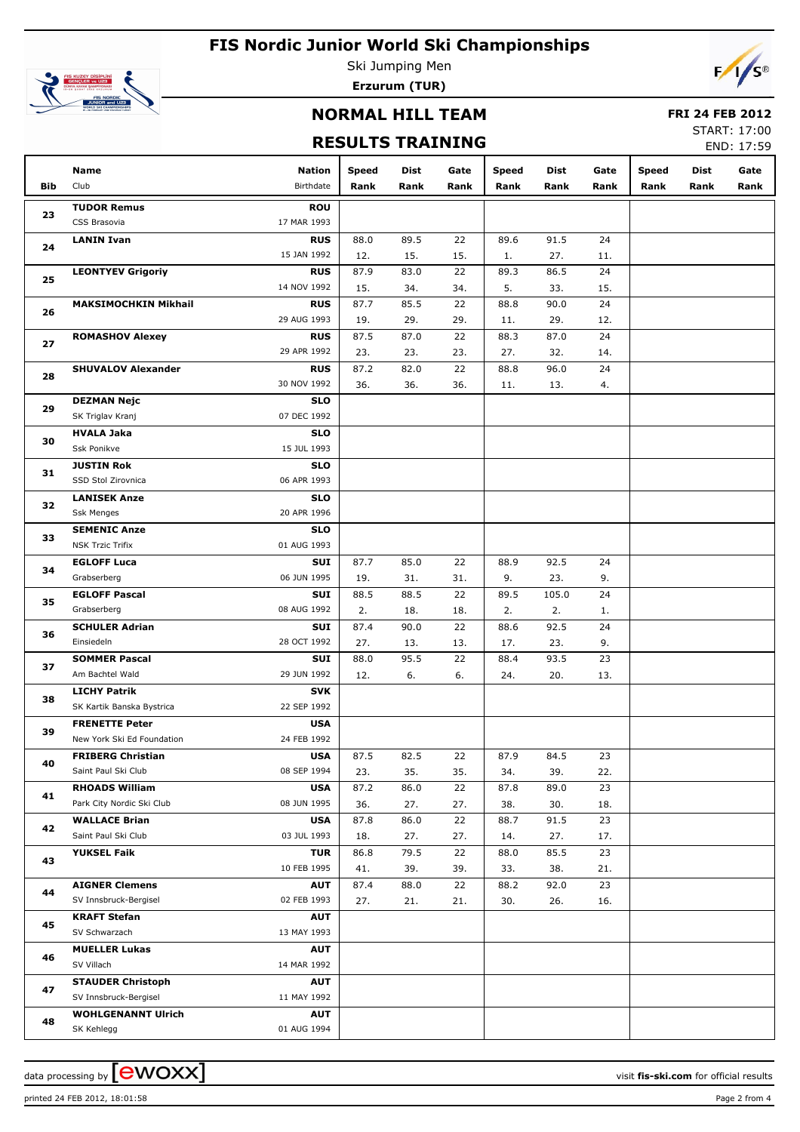

Ski Jumping Men **Erzurum (TUR)**



### **NORMAL HILL TEAM**

#### **FRI 24 FEB 2012**

### **RESULTS TRAINING**

START: 17:00 END: 17:59

|                | Name                        | <b>Nation</b> | <b>Speed</b> | Dist | Gate | <b>Speed</b> | Dist  | Gate | <b>Speed</b> | Dist | Gate |
|----------------|-----------------------------|---------------|--------------|------|------|--------------|-------|------|--------------|------|------|
| Bib            | Club                        | Birthdate     | Rank         | Rank | Rank | Rank         | Rank  | Rank | Rank         | Rank | Rank |
|                | <b>TUDOR Remus</b>          | <b>ROU</b>    |              |      |      |              |       |      |              |      |      |
| 23             | CSS Brasovia                | 17 MAR 1993   |              |      |      |              |       |      |              |      |      |
| 24             | <b>LANIN Ivan</b>           | <b>RUS</b>    | 88.0         | 89.5 | 22   | 89.6         | 91.5  | 24   |              |      |      |
|                |                             | 15 JAN 1992   | 12.          | 15.  | 15.  | 1.           | 27.   | 11.  |              |      |      |
| 25             | <b>LEONTYEV Grigoriy</b>    | <b>RUS</b>    | 87.9         | 83.0 | 22   | 89.3         | 86.5  | 24   |              |      |      |
|                |                             | 14 NOV 1992   | 15.          | 34.  | 34.  | 5.           | 33.   | 15.  |              |      |      |
| 26             | <b>MAKSIMOCHKIN Mikhail</b> | <b>RUS</b>    | 87.7         | 85.5 | 22   | 88.8         | 90.0  | 24   |              |      |      |
|                |                             | 29 AUG 1993   | 19.          | 29.  | 29.  | 11.          | 29.   | 12.  |              |      |      |
| 27             | <b>ROMASHOV Alexey</b>      | <b>RUS</b>    | 87.5         | 87.0 | 22   | 88.3         | 87.0  | 24   |              |      |      |
|                |                             | 29 APR 1992   | 23.          | 23.  | 23.  | 27.          | 32.   | 14.  |              |      |      |
| 28             | <b>SHUVALOV Alexander</b>   | <b>RUS</b>    | 87.2         | 82.0 | 22   | 88.8         | 96.0  | 24   |              |      |      |
|                |                             | 30 NOV 1992   | 36.          | 36.  | 36.  | 11.          | 13.   | 4.   |              |      |      |
| 29             | <b>DEZMAN Nejc</b>          | <b>SLO</b>    |              |      |      |              |       |      |              |      |      |
|                | SK Triglav Kranj            | 07 DEC 1992   |              |      |      |              |       |      |              |      |      |
|                | <b>HVALA Jaka</b>           | <b>SLO</b>    |              |      |      |              |       |      |              |      |      |
| 30             | Ssk Ponikve                 | 15 JUL 1993   |              |      |      |              |       |      |              |      |      |
|                | <b>JUSTIN Rok</b>           | <b>SLO</b>    |              |      |      |              |       |      |              |      |      |
| 31             | SSD Stol Zirovnica          | 06 APR 1993   |              |      |      |              |       |      |              |      |      |
|                | <b>LANISEK Anze</b>         | <b>SLO</b>    |              |      |      |              |       |      |              |      |      |
| 32             | <b>Ssk Menges</b>           | 20 APR 1996   |              |      |      |              |       |      |              |      |      |
| 33<br>34<br>35 | <b>SEMENIC Anze</b>         | <b>SLO</b>    |              |      |      |              |       |      |              |      |      |
|                | <b>NSK Trzic Trifix</b>     | 01 AUG 1993   |              |      |      |              |       |      |              |      |      |
|                | <b>EGLOFF Luca</b>          | SUI           | 87.7         | 85.0 | 22   | 88.9         | 92.5  | 24   |              |      |      |
|                | Grabserberg                 | 06 JUN 1995   | 19.          | 31.  | 31.  | 9.           | 23.   | 9.   |              |      |      |
|                | <b>EGLOFF Pascal</b>        | SUI           | 88.5         | 88.5 | 22   | 89.5         | 105.0 | 24   |              |      |      |
|                | Grabserberg                 | 08 AUG 1992   | 2.           | 18.  | 18.  | 2.           | 2.    | 1.   |              |      |      |
|                | <b>SCHULER Adrian</b>       | SUI           | 87.4         | 90.0 | 22   | 88.6         | 92.5  | 24   |              |      |      |
| 36             | Einsiedeln                  | 28 OCT 1992   | 27.          | 13.  | 13.  | 17.          | 23.   | 9.   |              |      |      |
|                | <b>SOMMER Pascal</b>        | SUI           | 88.0         | 95.5 | 22   | 88.4         | 93.5  | 23   |              |      |      |
| 37             | Am Bachtel Wald             | 29 JUN 1992   | 12.          | 6.   | 6.   | 24.          | 20.   | 13.  |              |      |      |
|                | <b>LICHY Patrik</b>         | <b>SVK</b>    |              |      |      |              |       |      |              |      |      |
| 38             | SK Kartik Banska Bystrica   | 22 SEP 1992   |              |      |      |              |       |      |              |      |      |
|                | <b>FRENETTE Peter</b>       | <b>USA</b>    |              |      |      |              |       |      |              |      |      |
| 39             | New York Ski Ed Foundation  | 24 FEB 1992   |              |      |      |              |       |      |              |      |      |
|                | <b>FRIBERG Christian</b>    | <b>USA</b>    | 87.5         | 82.5 | 22   | 87.9         | 84.5  | 23   |              |      |      |
| 40             | Saint Paul Ski Club         | 08 SEP 1994   | 23.          | 35.  | 35.  | 34.          | 39.   | 22.  |              |      |      |
| 41             | <b>RHOADS William</b>       | <b>USA</b>    | 87.2         | 86.0 | 22   | 87.8         | 89.0  | 23   |              |      |      |
|                | Park City Nordic Ski Club   | 08 JUN 1995   | 36.          | 27.  | 27.  | 38.          | 30.   | 18.  |              |      |      |
| 42             | <b>WALLACE Brian</b>        | <b>USA</b>    | 87.8         | 86.0 | 22   | 88.7         | 91.5  | 23   |              |      |      |
|                | Saint Paul Ski Club         | 03 JUL 1993   | 18.          | 27.  | 27.  | 14.          | 27.   | 17.  |              |      |      |
| 43             | <b>YUKSEL Faik</b>          | <b>TUR</b>    | 86.8         | 79.5 | 22   | 88.0         | 85.5  | 23   |              |      |      |
|                |                             | 10 FEB 1995   | 41.          | 39.  | 39.  | 33.          | 38.   | 21.  |              |      |      |
|                | <b>AIGNER Clemens</b>       | <b>AUT</b>    | 87.4         | 88.0 | 22   | 88.2         | 92.0  | 23   |              |      |      |
| 44             | SV Innsbruck-Bergisel       | 02 FEB 1993   | 27.          | 21.  | 21.  | 30.          | 26.   | 16.  |              |      |      |
| 45             | <b>KRAFT Stefan</b>         | <b>AUT</b>    |              |      |      |              |       |      |              |      |      |
|                | SV Schwarzach               | 13 MAY 1993   |              |      |      |              |       |      |              |      |      |
|                | <b>MUELLER Lukas</b>        | AUT           |              |      |      |              |       |      |              |      |      |
| 46             | SV Villach                  | 14 MAR 1992   |              |      |      |              |       |      |              |      |      |
| 47             | <b>STAUDER Christoph</b>    | <b>AUT</b>    |              |      |      |              |       |      |              |      |      |
|                | SV Innsbruck-Bergisel       | 11 MAY 1992   |              |      |      |              |       |      |              |      |      |
| 48             | <b>WOHLGENANNT Ulrich</b>   | <b>AUT</b>    |              |      |      |              |       |      |              |      |      |
|                | SK Kehlegg                  | 01 AUG 1994   |              |      |      |              |       |      |              |      |      |

printed 24 FEB 2012, 18:01:58 Page 2 from 4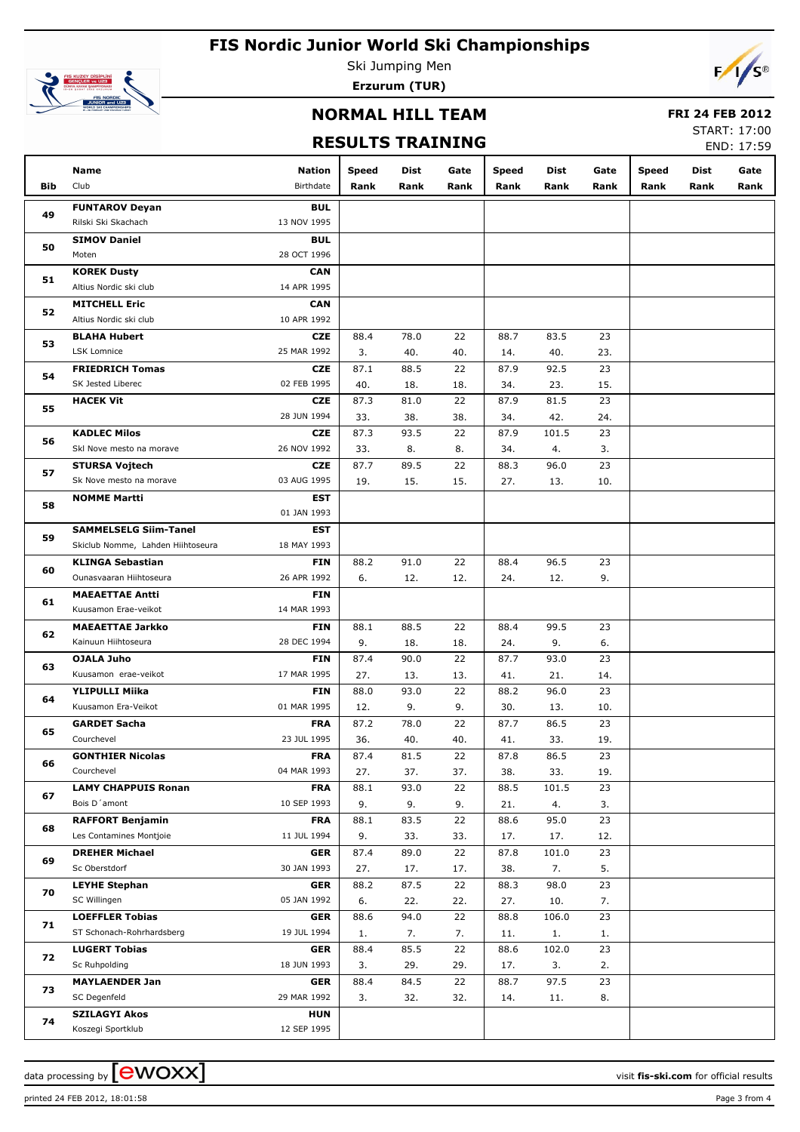

Ski Jumping Men **Erzurum (TUR)**



### **NORMAL HILL TEAM**

#### **FRI 24 FEB 2012**

### **RESULTS TRAINING**

START: 17:00 END: 17:59

|     | Name                              | Nation      | Speed | Dist | Gate | <b>Speed</b> | Dist  | Gate | <b>Speed</b> | Dist | Gate |
|-----|-----------------------------------|-------------|-------|------|------|--------------|-------|------|--------------|------|------|
| Bib | Club                              | Birthdate   | Rank  | Rank | Rank | Rank         | Rank  | Rank | Rank         | Rank | Rank |
| 49  | <b>FUNTAROV Deyan</b>             | <b>BUL</b>  |       |      |      |              |       |      |              |      |      |
|     | Rilski Ski Skachach               | 13 NOV 1995 |       |      |      |              |       |      |              |      |      |
| 50  | <b>SIMOV Daniel</b>               | <b>BUL</b>  |       |      |      |              |       |      |              |      |      |
|     | Moten                             | 28 OCT 1996 |       |      |      |              |       |      |              |      |      |
| 51  | <b>KOREK Dusty</b>                | <b>CAN</b>  |       |      |      |              |       |      |              |      |      |
|     | Altius Nordic ski club            | 14 APR 1995 |       |      |      |              |       |      |              |      |      |
| 52  | <b>MITCHELL Eric</b>              | <b>CAN</b>  |       |      |      |              |       |      |              |      |      |
|     | Altius Nordic ski club            | 10 APR 1992 |       |      |      |              |       |      |              |      |      |
| 53  | <b>BLAHA Hubert</b>               | <b>CZE</b>  | 88.4  | 78.0 | 22   | 88.7         | 83.5  | 23   |              |      |      |
|     | LSK Lomnice                       | 25 MAR 1992 | 3.    | 40.  | 40.  | 14.          | 40.   | 23.  |              |      |      |
| 54  | <b>FRIEDRICH Tomas</b>            | <b>CZE</b>  | 87.1  | 88.5 | 22   | 87.9         | 92.5  | 23   |              |      |      |
|     | SK Jested Liberec                 | 02 FEB 1995 | 40.   | 18.  | 18.  | 34.          | 23.   | 15.  |              |      |      |
| 55  | <b>HACEK Vit</b>                  | <b>CZE</b>  | 87.3  | 81.0 | 22   | 87.9         | 81.5  | 23   |              |      |      |
|     |                                   | 28 JUN 1994 | 33.   | 38.  | 38.  | 34.          | 42.   | 24.  |              |      |      |
| 56  | <b>KADLEC Milos</b>               | <b>CZE</b>  | 87.3  | 93.5 | 22   | 87.9         | 101.5 | 23   |              |      |      |
|     | Skl Nove mesto na morave          | 26 NOV 1992 | 33.   | 8.   | 8.   | 34.          | 4.    | 3.   |              |      |      |
| 57  | <b>STURSA Vojtech</b>             | <b>CZE</b>  | 87.7  | 89.5 | 22   | 88.3         | 96.0  | 23   |              |      |      |
|     | Sk Nove mesto na morave           | 03 AUG 1995 | 19.   | 15.  | 15.  | 27.          | 13.   | 10.  |              |      |      |
| 58  | <b>NOMME Martti</b>               | EST         |       |      |      |              |       |      |              |      |      |
|     |                                   | 01 JAN 1993 |       |      |      |              |       |      |              |      |      |
| 59  | <b>SAMMELSELG Siim-Tanel</b>      | EST         |       |      |      |              |       |      |              |      |      |
|     | Skiclub Nomme, Lahden Hiihtoseura | 18 MAY 1993 |       |      |      |              |       |      |              |      |      |
|     | <b>KLINGA Sebastian</b>           | <b>FIN</b>  | 88.2  | 91.0 | 22   | 88.4         | 96.5  | 23   |              |      |      |
| 60  | Ounasvaaran Hiihtoseura           | 26 APR 1992 | 6.    | 12.  | 12.  | 24.          | 12.   | 9.   |              |      |      |
| 61  | <b>MAEAETTAE Antti</b>            | FIN         |       |      |      |              |       |      |              |      |      |
|     | Kuusamon Erae-veikot              | 14 MAR 1993 |       |      |      |              |       |      |              |      |      |
| 62  | <b>MAEAETTAE Jarkko</b>           | <b>FIN</b>  | 88.1  | 88.5 | 22   | 88.4         | 99.5  | 23   |              |      |      |
|     | Kainuun Hiihtoseura               | 28 DEC 1994 | 9.    | 18.  | 18.  | 24.          | 9.    | 6.   |              |      |      |
| 63  | <b>OJALA Juho</b>                 | <b>FIN</b>  | 87.4  | 90.0 | 22   | 87.7         | 93.0  | 23   |              |      |      |
|     | Kuusamon erae-veikot              | 17 MAR 1995 | 27.   | 13.  | 13.  | 41.          | 21.   | 14.  |              |      |      |
| 64  | <b>YLIPULLI Miika</b>             | FIN         | 88.0  | 93.0 | 22   | 88.2         | 96.0  | 23   |              |      |      |
|     | Kuusamon Era-Veikot               | 01 MAR 1995 | 12.   | 9.   | 9.   | 30.          | 13.   | 10.  |              |      |      |
| 65  | <b>GARDET Sacha</b>               | <b>FRA</b>  | 87.2  | 78.0 | 22   | 87.7         | 86.5  | 23   |              |      |      |
|     | Courchevel                        | 23 JUL 1995 | 36.   | 40.  | 40.  | 41.          | 33.   | 19.  |              |      |      |
| 66  | <b>GONTHIER Nicolas</b>           | <b>FRA</b>  | 87.4  | 81.5 | 22   | 87.8         | 86.5  | 23   |              |      |      |
|     | Courchevel                        | 04 MAR 1993 | 27.   | 37.  | 37.  | 38.          | 33.   | 19.  |              |      |      |
| 67  | <b>LAMY CHAPPUIS Ronan</b>        | <b>FRA</b>  | 88.1  | 93.0 | 22   | 88.5         | 101.5 | 23   |              |      |      |
|     | Bois D'amont                      | 10 SEP 1993 | 9.    | 9.   | 9.   | 21.          | 4.    | 3.   |              |      |      |
| 68  | <b>RAFFORT Benjamin</b>           | <b>FRA</b>  | 88.1  | 83.5 | 22   | 88.6         | 95.0  | 23   |              |      |      |
|     | Les Contamines Montjoie           | 11 JUL 1994 | 9.    | 33.  | 33.  | 17.          | 17.   | 12.  |              |      |      |
| 69  | <b>DREHER Michael</b>             | <b>GER</b>  | 87.4  | 89.0 | 22   | 87.8         | 101.0 | 23   |              |      |      |
|     | Sc Oberstdorf                     | 30 JAN 1993 | 27.   | 17.  | 17.  | 38.          | 7.    | 5.   |              |      |      |
| 70  | <b>LEYHE Stephan</b>              | <b>GER</b>  | 88.2  | 87.5 | 22   | 88.3         | 98.0  | 23   |              |      |      |
|     | SC Willingen                      | 05 JAN 1992 | 6.    | 22.  | 22.  | 27.          | 10.   | 7.   |              |      |      |
| 71  | <b>LOEFFLER Tobias</b>            | <b>GER</b>  | 88.6  | 94.0 | 22   | 88.8         | 106.0 | 23   |              |      |      |
|     | ST Schonach-Rohrhardsberg         | 19 JUL 1994 | 1.    | 7.   | 7.   | 11.          | 1.    | 1.   |              |      |      |
| 72  | <b>LUGERT Tobias</b>              | <b>GER</b>  | 88.4  | 85.5 | 22   | 88.6         | 102.0 | 23   |              |      |      |
|     | Sc Ruhpolding                     | 18 JUN 1993 | 3.    | 29.  | 29.  | 17.          | 3.    | 2.   |              |      |      |
| 73  | <b>MAYLAENDER Jan</b>             | GER         | 88.4  | 84.5 | 22   | 88.7         | 97.5  | 23   |              |      |      |
|     | SC Degenfeld                      | 29 MAR 1992 | 3.    | 32.  | 32.  | 14.          | 11.   | 8.   |              |      |      |
| 74  | <b>SZILAGYI Akos</b>              | <b>HUN</b>  |       |      |      |              |       |      |              |      |      |
|     | Koszegi Sportklub                 | 12 SEP 1995 |       |      |      |              |       |      |              |      |      |

printed 24 FEB 2012, 18:01:58 Page 3 from 4

data processing by **CWOXX**  $\blacksquare$